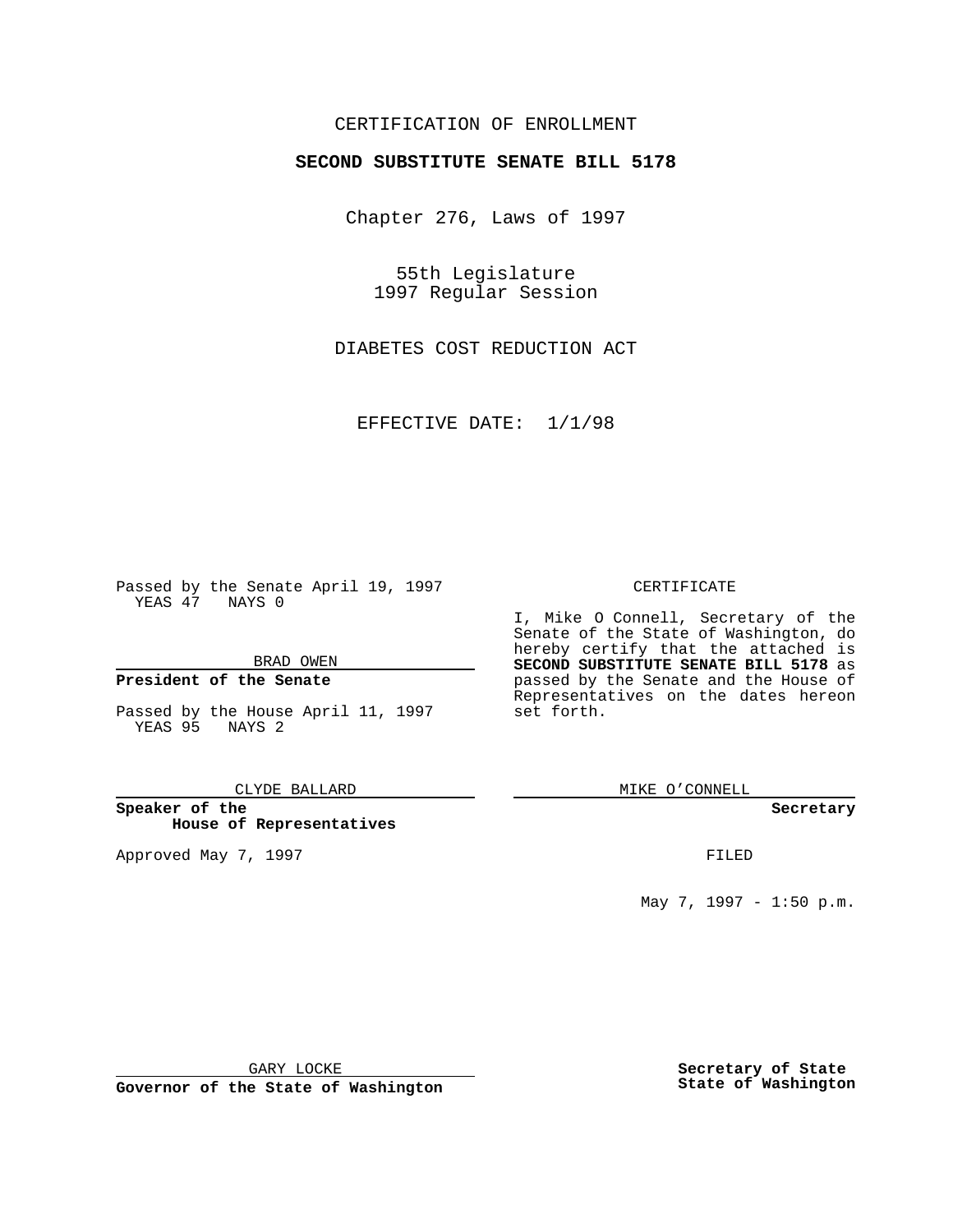## CERTIFICATION OF ENROLLMENT

# **SECOND SUBSTITUTE SENATE BILL 5178**

Chapter 276, Laws of 1997

55th Legislature 1997 Regular Session

DIABETES COST REDUCTION ACT

EFFECTIVE DATE: 1/1/98

Passed by the Senate April 19, 1997 YEAS 47 NAYS 0

BRAD OWEN

### **President of the Senate**

Passed by the House April 11, 1997 YEAS 95 NAYS 2

CLYDE BALLARD

**Speaker of the House of Representatives**

Approved May 7, 1997 **FILED** 

### CERTIFICATE

I, Mike O Connell, Secretary of the Senate of the State of Washington, do hereby certify that the attached is **SECOND SUBSTITUTE SENATE BILL 5178** as passed by the Senate and the House of Representatives on the dates hereon set forth.

MIKE O'CONNELL

#### **Secretary**

May 7, 1997 - 1:50 p.m.

GARY LOCKE

**Governor of the State of Washington**

**Secretary of State State of Washington**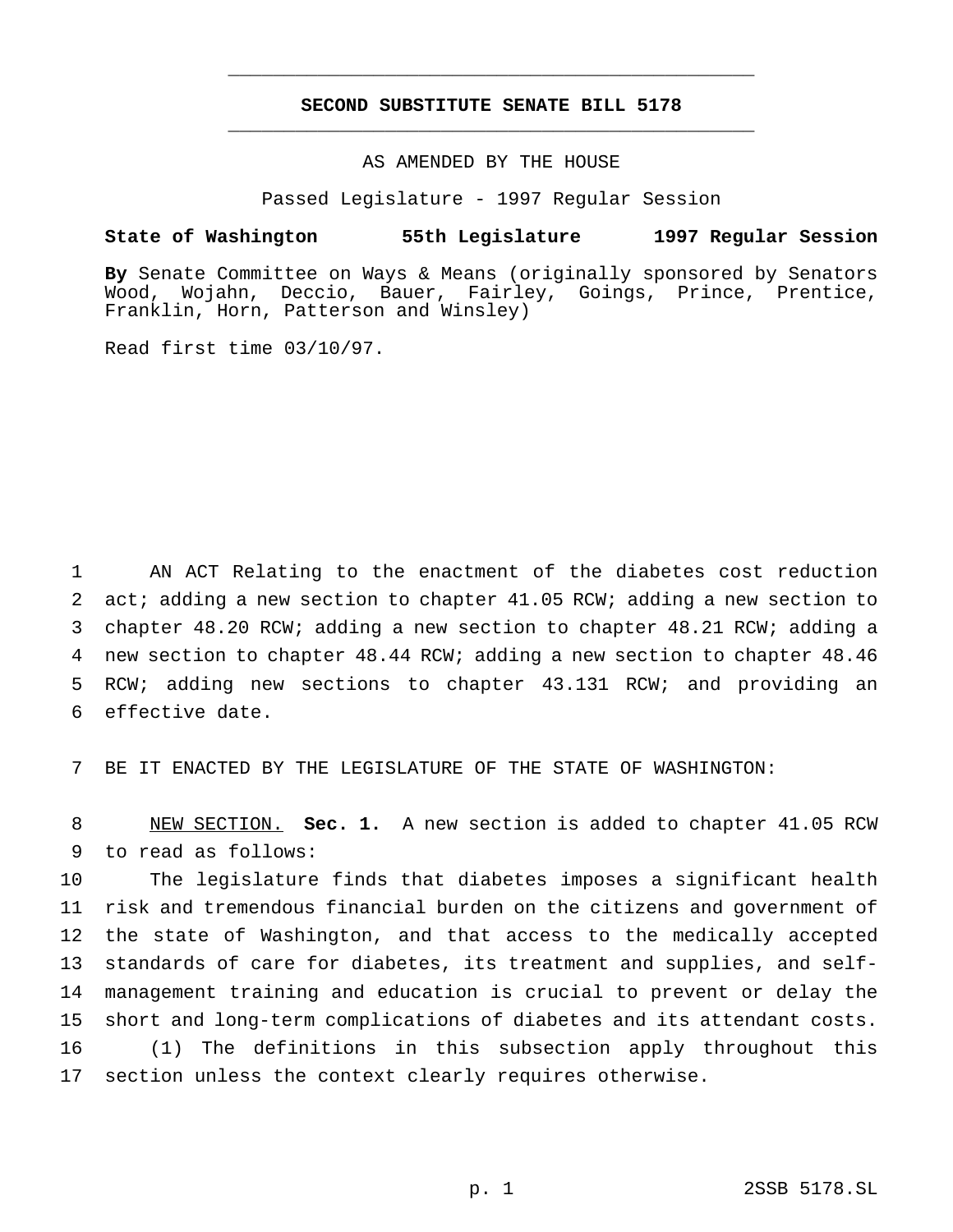## **SECOND SUBSTITUTE SENATE BILL 5178** \_\_\_\_\_\_\_\_\_\_\_\_\_\_\_\_\_\_\_\_\_\_\_\_\_\_\_\_\_\_\_\_\_\_\_\_\_\_\_\_\_\_\_\_\_\_\_

\_\_\_\_\_\_\_\_\_\_\_\_\_\_\_\_\_\_\_\_\_\_\_\_\_\_\_\_\_\_\_\_\_\_\_\_\_\_\_\_\_\_\_\_\_\_\_

## AS AMENDED BY THE HOUSE

Passed Legislature - 1997 Regular Session

#### **State of Washington 55th Legislature 1997 Regular Session**

**By** Senate Committee on Ways & Means (originally sponsored by Senators Wood, Wojahn, Deccio, Bauer, Fairley, Goings, Prince, Prentice, Franklin, Horn, Patterson and Winsley)

Read first time 03/10/97.

 AN ACT Relating to the enactment of the diabetes cost reduction 2 act; adding a new section to chapter 41.05 RCW; adding a new section to chapter 48.20 RCW; adding a new section to chapter 48.21 RCW; adding a new section to chapter 48.44 RCW; adding a new section to chapter 48.46 RCW; adding new sections to chapter 43.131 RCW; and providing an effective date.

7 BE IT ENACTED BY THE LEGISLATURE OF THE STATE OF WASHINGTON:

8 NEW SECTION. **Sec. 1.** A new section is added to chapter 41.05 RCW 9 to read as follows:

 The legislature finds that diabetes imposes a significant health risk and tremendous financial burden on the citizens and government of the state of Washington, and that access to the medically accepted standards of care for diabetes, its treatment and supplies, and self- management training and education is crucial to prevent or delay the short and long-term complications of diabetes and its attendant costs. (1) The definitions in this subsection apply throughout this section unless the context clearly requires otherwise.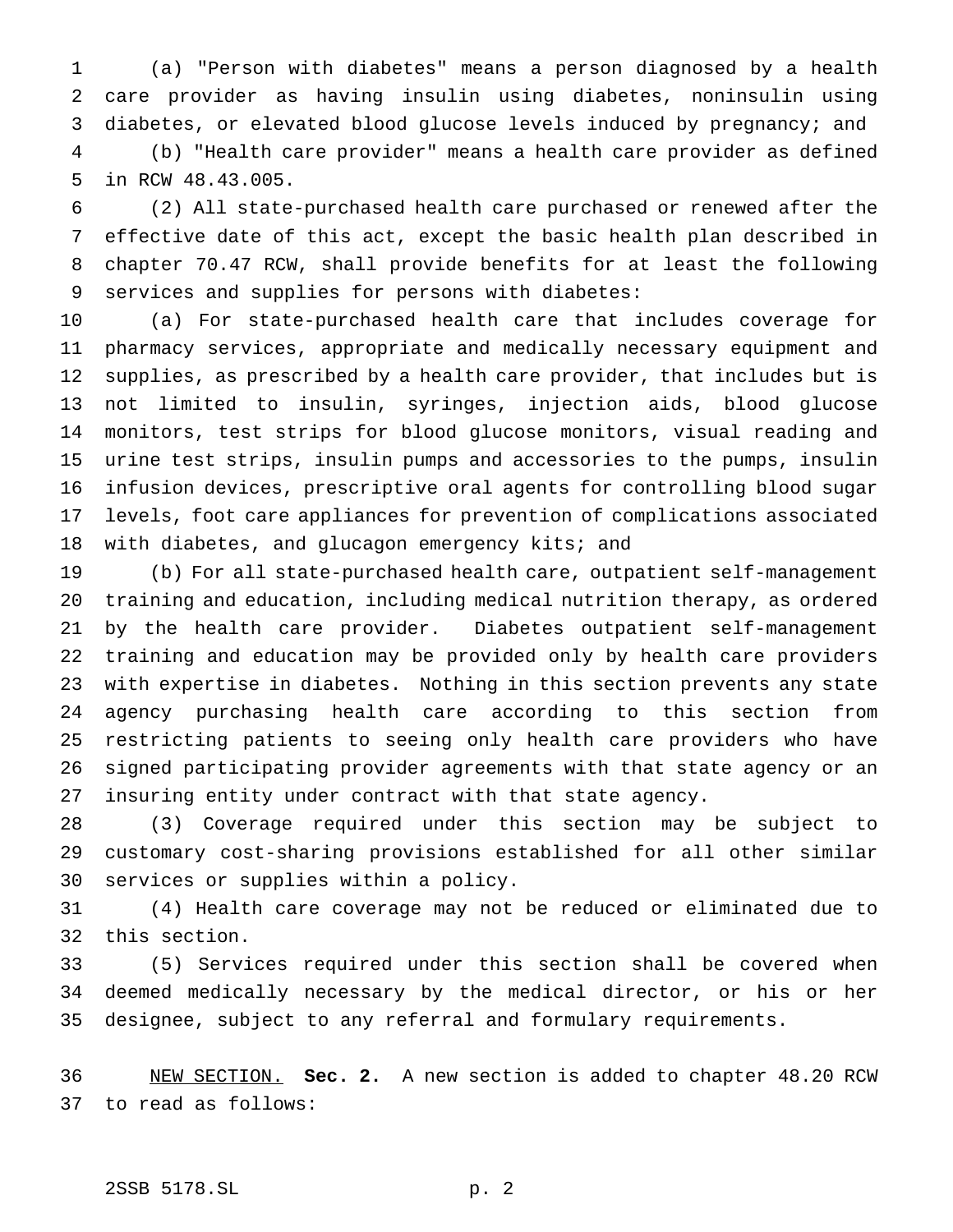(a) "Person with diabetes" means a person diagnosed by a health care provider as having insulin using diabetes, noninsulin using diabetes, or elevated blood glucose levels induced by pregnancy; and

 (b) "Health care provider" means a health care provider as defined in RCW 48.43.005.

 (2) All state-purchased health care purchased or renewed after the effective date of this act, except the basic health plan described in chapter 70.47 RCW, shall provide benefits for at least the following services and supplies for persons with diabetes:

 (a) For state-purchased health care that includes coverage for pharmacy services, appropriate and medically necessary equipment and supplies, as prescribed by a health care provider, that includes but is not limited to insulin, syringes, injection aids, blood glucose monitors, test strips for blood glucose monitors, visual reading and urine test strips, insulin pumps and accessories to the pumps, insulin infusion devices, prescriptive oral agents for controlling blood sugar levels, foot care appliances for prevention of complications associated 18 with diabetes, and glucagon emergency kits; and

 (b) For all state-purchased health care, outpatient self-management training and education, including medical nutrition therapy, as ordered by the health care provider. Diabetes outpatient self-management training and education may be provided only by health care providers with expertise in diabetes. Nothing in this section prevents any state agency purchasing health care according to this section from restricting patients to seeing only health care providers who have signed participating provider agreements with that state agency or an insuring entity under contract with that state agency.

 (3) Coverage required under this section may be subject to customary cost-sharing provisions established for all other similar services or supplies within a policy.

 (4) Health care coverage may not be reduced or eliminated due to this section.

 (5) Services required under this section shall be covered when deemed medically necessary by the medical director, or his or her designee, subject to any referral and formulary requirements.

 NEW SECTION. **Sec. 2.** A new section is added to chapter 48.20 RCW to read as follows:

# 2SSB 5178.SL p. 2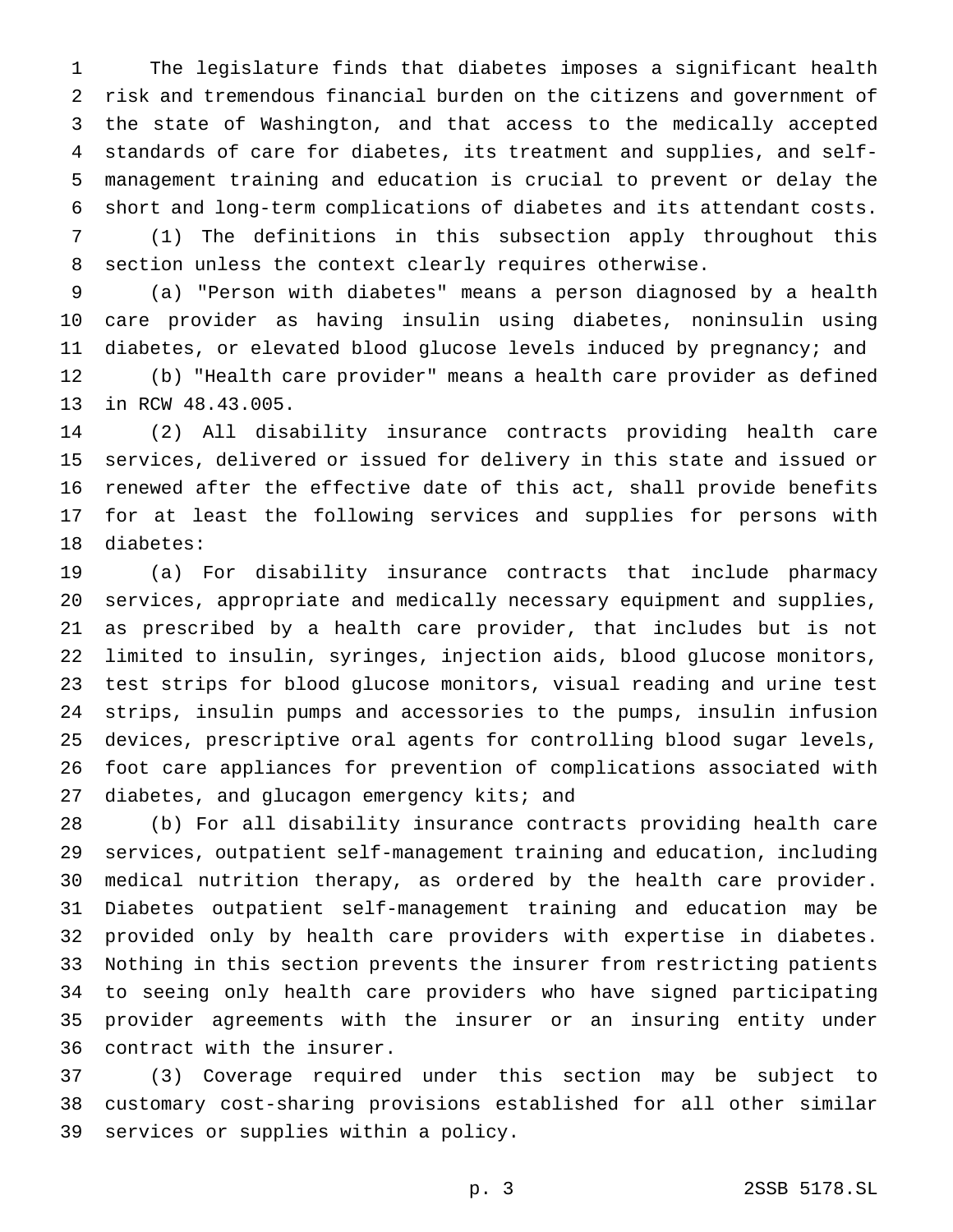The legislature finds that diabetes imposes a significant health risk and tremendous financial burden on the citizens and government of the state of Washington, and that access to the medically accepted standards of care for diabetes, its treatment and supplies, and self- management training and education is crucial to prevent or delay the short and long-term complications of diabetes and its attendant costs.

 (1) The definitions in this subsection apply throughout this section unless the context clearly requires otherwise.

 (a) "Person with diabetes" means a person diagnosed by a health care provider as having insulin using diabetes, noninsulin using diabetes, or elevated blood glucose levels induced by pregnancy; and

 (b) "Health care provider" means a health care provider as defined in RCW 48.43.005.

 (2) All disability insurance contracts providing health care services, delivered or issued for delivery in this state and issued or renewed after the effective date of this act, shall provide benefits for at least the following services and supplies for persons with diabetes:

 (a) For disability insurance contracts that include pharmacy services, appropriate and medically necessary equipment and supplies, as prescribed by a health care provider, that includes but is not limited to insulin, syringes, injection aids, blood glucose monitors, test strips for blood glucose monitors, visual reading and urine test strips, insulin pumps and accessories to the pumps, insulin infusion devices, prescriptive oral agents for controlling blood sugar levels, foot care appliances for prevention of complications associated with 27 diabetes, and glucagon emergency kits; and

 (b) For all disability insurance contracts providing health care services, outpatient self-management training and education, including medical nutrition therapy, as ordered by the health care provider. Diabetes outpatient self-management training and education may be provided only by health care providers with expertise in diabetes. Nothing in this section prevents the insurer from restricting patients to seeing only health care providers who have signed participating provider agreements with the insurer or an insuring entity under contract with the insurer.

 (3) Coverage required under this section may be subject to customary cost-sharing provisions established for all other similar services or supplies within a policy.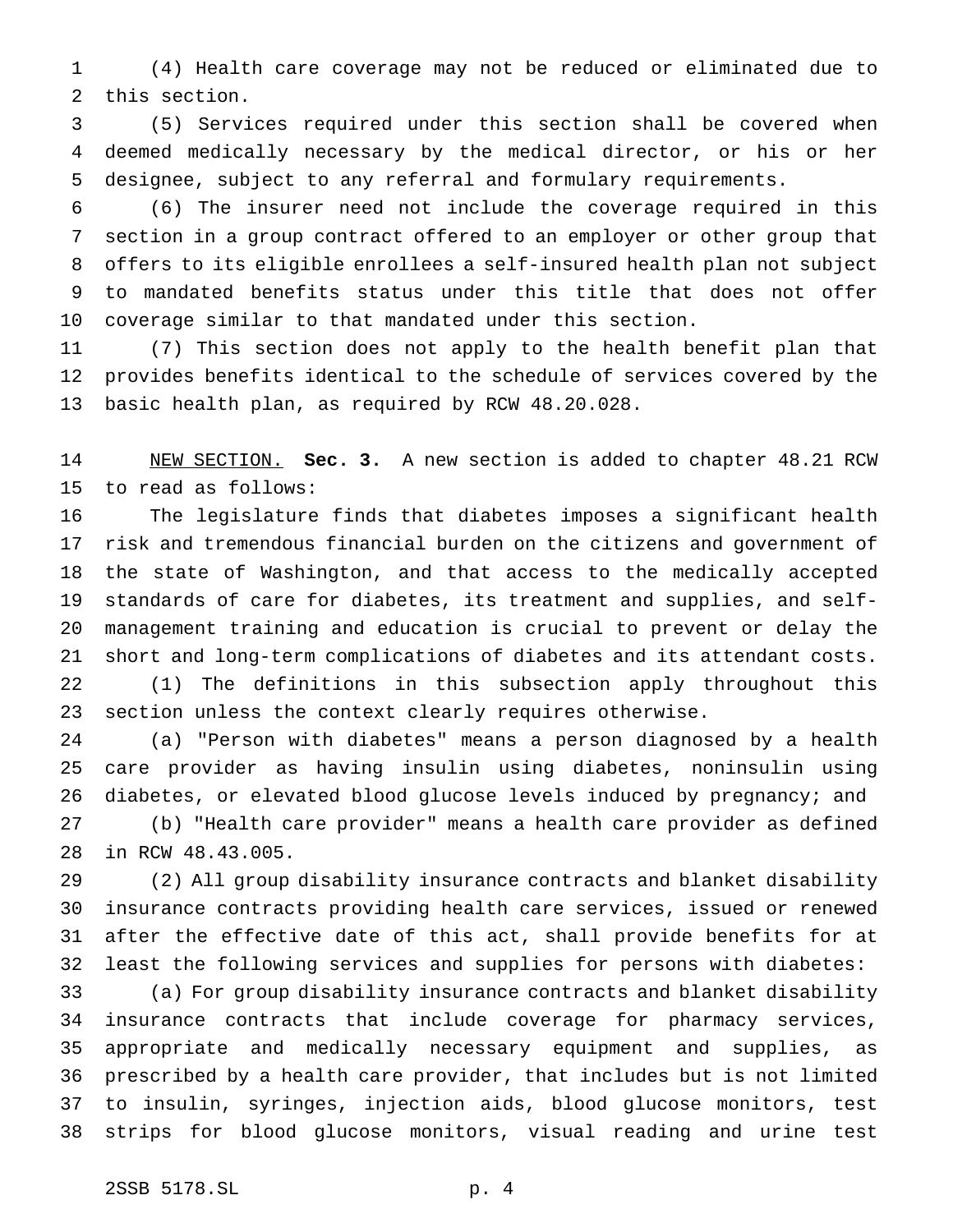(4) Health care coverage may not be reduced or eliminated due to this section.

 (5) Services required under this section shall be covered when deemed medically necessary by the medical director, or his or her designee, subject to any referral and formulary requirements.

 (6) The insurer need not include the coverage required in this section in a group contract offered to an employer or other group that offers to its eligible enrollees a self-insured health plan not subject to mandated benefits status under this title that does not offer coverage similar to that mandated under this section.

 (7) This section does not apply to the health benefit plan that provides benefits identical to the schedule of services covered by the basic health plan, as required by RCW 48.20.028.

 NEW SECTION. **Sec. 3.** A new section is added to chapter 48.21 RCW to read as follows:

 The legislature finds that diabetes imposes a significant health risk and tremendous financial burden on the citizens and government of the state of Washington, and that access to the medically accepted standards of care for diabetes, its treatment and supplies, and self- management training and education is crucial to prevent or delay the short and long-term complications of diabetes and its attendant costs. (1) The definitions in this subsection apply throughout this section unless the context clearly requires otherwise.

 (a) "Person with diabetes" means a person diagnosed by a health care provider as having insulin using diabetes, noninsulin using diabetes, or elevated blood glucose levels induced by pregnancy; and

 (b) "Health care provider" means a health care provider as defined in RCW 48.43.005.

 (2) All group disability insurance contracts and blanket disability insurance contracts providing health care services, issued or renewed after the effective date of this act, shall provide benefits for at least the following services and supplies for persons with diabetes:

 (a) For group disability insurance contracts and blanket disability insurance contracts that include coverage for pharmacy services, appropriate and medically necessary equipment and supplies, as prescribed by a health care provider, that includes but is not limited to insulin, syringes, injection aids, blood glucose monitors, test strips for blood glucose monitors, visual reading and urine test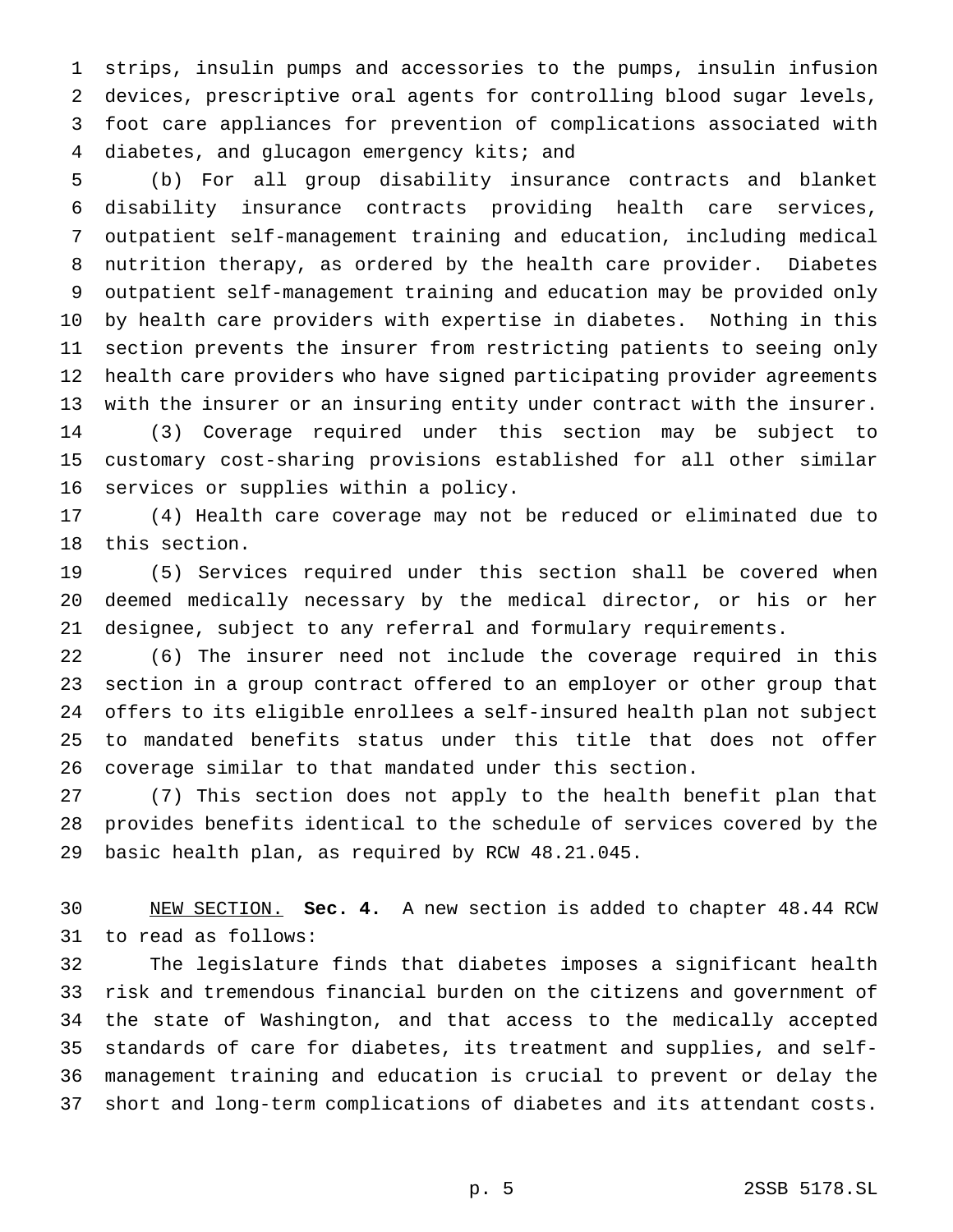strips, insulin pumps and accessories to the pumps, insulin infusion devices, prescriptive oral agents for controlling blood sugar levels, foot care appliances for prevention of complications associated with 4 diabetes, and glucagon emergency kits; and

 (b) For all group disability insurance contracts and blanket disability insurance contracts providing health care services, outpatient self-management training and education, including medical nutrition therapy, as ordered by the health care provider. Diabetes outpatient self-management training and education may be provided only by health care providers with expertise in diabetes. Nothing in this section prevents the insurer from restricting patients to seeing only health care providers who have signed participating provider agreements with the insurer or an insuring entity under contract with the insurer. (3) Coverage required under this section may be subject to customary cost-sharing provisions established for all other similar services or supplies within a policy.

 (4) Health care coverage may not be reduced or eliminated due to this section.

 (5) Services required under this section shall be covered when deemed medically necessary by the medical director, or his or her designee, subject to any referral and formulary requirements.

 (6) The insurer need not include the coverage required in this section in a group contract offered to an employer or other group that offers to its eligible enrollees a self-insured health plan not subject to mandated benefits status under this title that does not offer coverage similar to that mandated under this section.

 (7) This section does not apply to the health benefit plan that provides benefits identical to the schedule of services covered by the basic health plan, as required by RCW 48.21.045.

 NEW SECTION. **Sec. 4.** A new section is added to chapter 48.44 RCW to read as follows:

 The legislature finds that diabetes imposes a significant health risk and tremendous financial burden on the citizens and government of the state of Washington, and that access to the medically accepted standards of care for diabetes, its treatment and supplies, and self- management training and education is crucial to prevent or delay the short and long-term complications of diabetes and its attendant costs.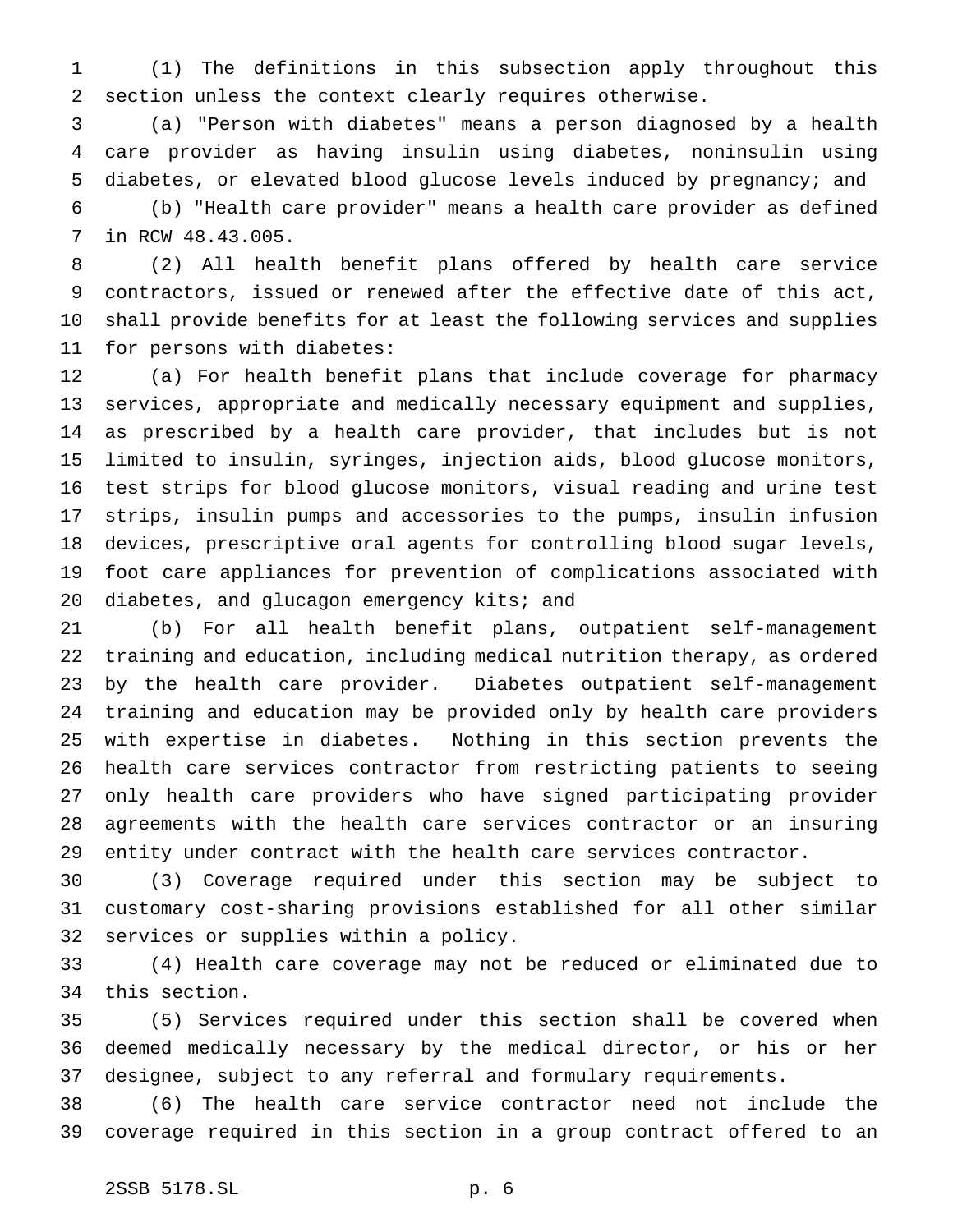(1) The definitions in this subsection apply throughout this section unless the context clearly requires otherwise.

 (a) "Person with diabetes" means a person diagnosed by a health care provider as having insulin using diabetes, noninsulin using diabetes, or elevated blood glucose levels induced by pregnancy; and

 (b) "Health care provider" means a health care provider as defined in RCW 48.43.005.

 (2) All health benefit plans offered by health care service contractors, issued or renewed after the effective date of this act, shall provide benefits for at least the following services and supplies for persons with diabetes:

 (a) For health benefit plans that include coverage for pharmacy services, appropriate and medically necessary equipment and supplies, as prescribed by a health care provider, that includes but is not limited to insulin, syringes, injection aids, blood glucose monitors, test strips for blood glucose monitors, visual reading and urine test strips, insulin pumps and accessories to the pumps, insulin infusion devices, prescriptive oral agents for controlling blood sugar levels, foot care appliances for prevention of complications associated with 20 diabetes, and glucagon emergency kits; and

 (b) For all health benefit plans, outpatient self-management training and education, including medical nutrition therapy, as ordered by the health care provider. Diabetes outpatient self-management training and education may be provided only by health care providers with expertise in diabetes. Nothing in this section prevents the health care services contractor from restricting patients to seeing only health care providers who have signed participating provider agreements with the health care services contractor or an insuring entity under contract with the health care services contractor.

 (3) Coverage required under this section may be subject to customary cost-sharing provisions established for all other similar services or supplies within a policy.

 (4) Health care coverage may not be reduced or eliminated due to this section.

 (5) Services required under this section shall be covered when deemed medically necessary by the medical director, or his or her designee, subject to any referral and formulary requirements.

 (6) The health care service contractor need not include the coverage required in this section in a group contract offered to an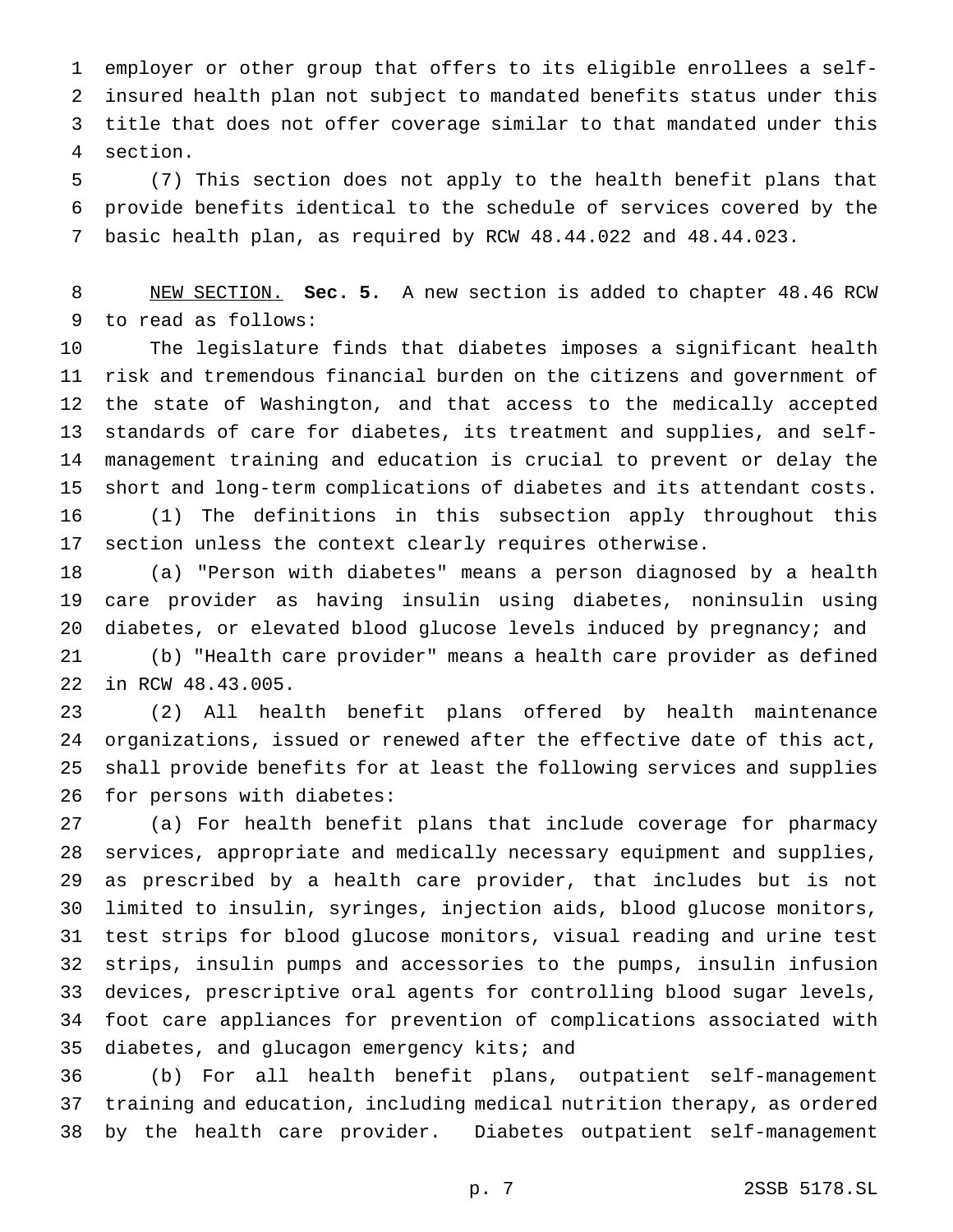employer or other group that offers to its eligible enrollees a self- insured health plan not subject to mandated benefits status under this title that does not offer coverage similar to that mandated under this section.

 (7) This section does not apply to the health benefit plans that provide benefits identical to the schedule of services covered by the basic health plan, as required by RCW 48.44.022 and 48.44.023.

 NEW SECTION. **Sec. 5.** A new section is added to chapter 48.46 RCW to read as follows:

 The legislature finds that diabetes imposes a significant health risk and tremendous financial burden on the citizens and government of the state of Washington, and that access to the medically accepted standards of care for diabetes, its treatment and supplies, and self- management training and education is crucial to prevent or delay the short and long-term complications of diabetes and its attendant costs. (1) The definitions in this subsection apply throughout this section unless the context clearly requires otherwise.

 (a) "Person with diabetes" means a person diagnosed by a health care provider as having insulin using diabetes, noninsulin using diabetes, or elevated blood glucose levels induced by pregnancy; and (b) "Health care provider" means a health care provider as defined in RCW 48.43.005.

 (2) All health benefit plans offered by health maintenance organizations, issued or renewed after the effective date of this act, shall provide benefits for at least the following services and supplies for persons with diabetes:

 (a) For health benefit plans that include coverage for pharmacy services, appropriate and medically necessary equipment and supplies, as prescribed by a health care provider, that includes but is not limited to insulin, syringes, injection aids, blood glucose monitors, test strips for blood glucose monitors, visual reading and urine test strips, insulin pumps and accessories to the pumps, insulin infusion devices, prescriptive oral agents for controlling blood sugar levels, foot care appliances for prevention of complications associated with 35 diabetes, and glucagon emergency kits; and

 (b) For all health benefit plans, outpatient self-management training and education, including medical nutrition therapy, as ordered by the health care provider. Diabetes outpatient self-management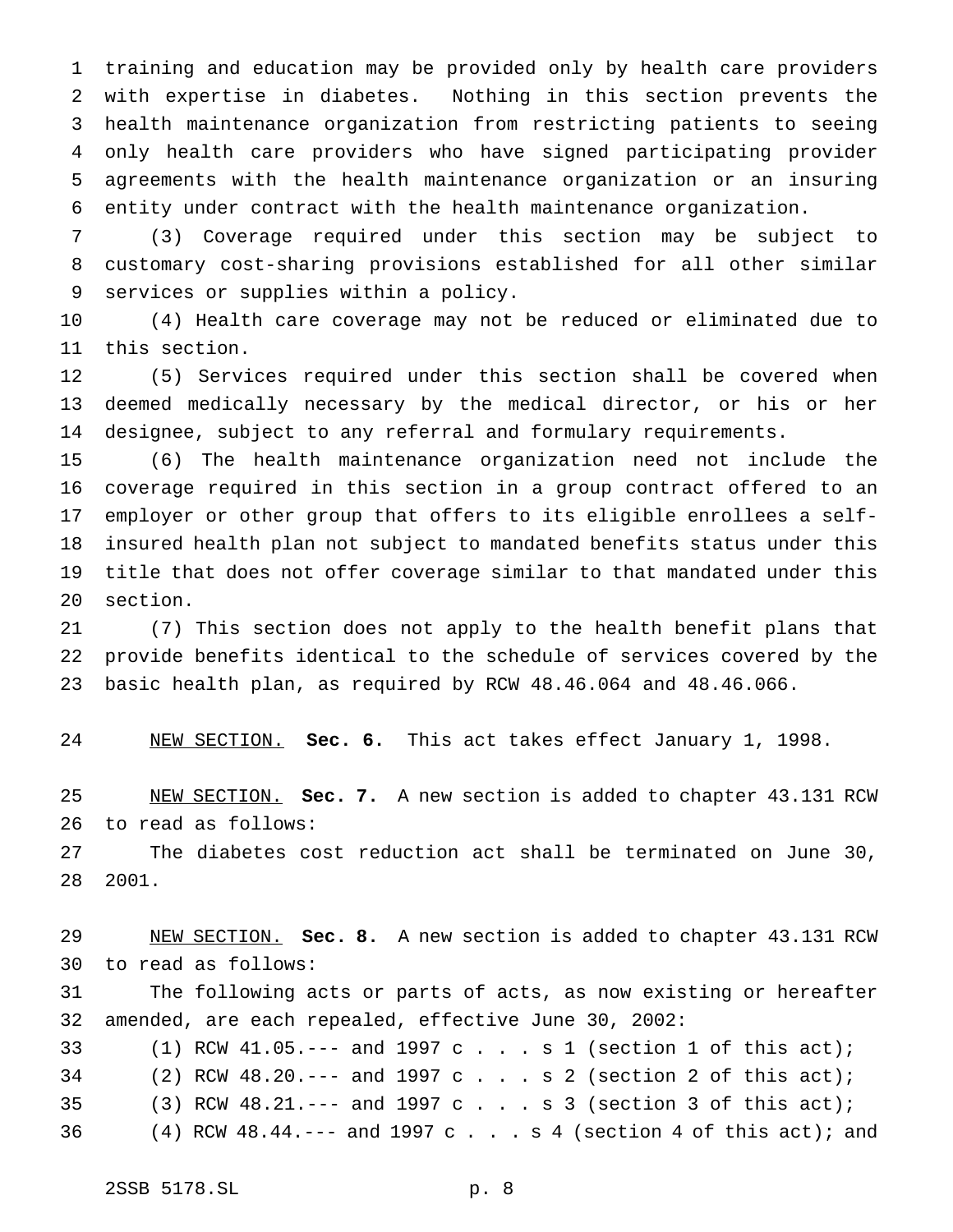training and education may be provided only by health care providers with expertise in diabetes. Nothing in this section prevents the health maintenance organization from restricting patients to seeing only health care providers who have signed participating provider agreements with the health maintenance organization or an insuring entity under contract with the health maintenance organization.

 (3) Coverage required under this section may be subject to customary cost-sharing provisions established for all other similar services or supplies within a policy.

 (4) Health care coverage may not be reduced or eliminated due to this section.

 (5) Services required under this section shall be covered when deemed medically necessary by the medical director, or his or her designee, subject to any referral and formulary requirements.

 (6) The health maintenance organization need not include the coverage required in this section in a group contract offered to an employer or other group that offers to its eligible enrollees a self- insured health plan not subject to mandated benefits status under this title that does not offer coverage similar to that mandated under this section.

 (7) This section does not apply to the health benefit plans that provide benefits identical to the schedule of services covered by the basic health plan, as required by RCW 48.46.064 and 48.46.066.

NEW SECTION. **Sec. 6.** This act takes effect January 1, 1998.

 NEW SECTION. **Sec. 7.** A new section is added to chapter 43.131 RCW to read as follows:

 The diabetes cost reduction act shall be terminated on June 30, 2001.

 NEW SECTION. **Sec. 8.** A new section is added to chapter 43.131 RCW to read as follows: The following acts or parts of acts, as now existing or hereafter amended, are each repealed, effective June 30, 2002: (1) RCW 41.05.--- and 1997c...s1 (section 1 of this act); (2) RCW 48.20.--- and 1997c...s2 (section 2 of this act); (3) RCW 48.21.--- and 1997c...s3 (section 3 of this act); (4) RCW 48.44.--- and 1997 c . . . s 4 (section 4 of this act); and

2SSB 5178.SL p. 8